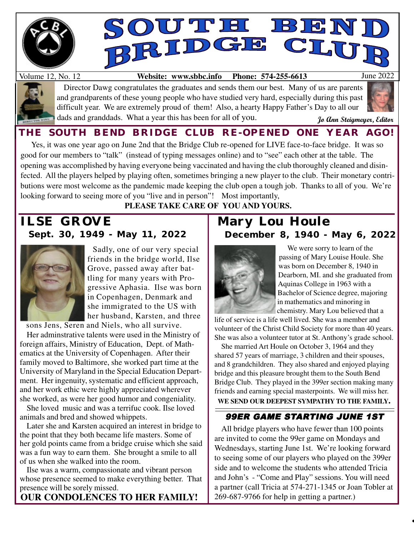

# OUTE BER RIDGE CLUT.

Volume 12, No. 12 **Website: www.sbbc.info Phone: 574-255-6613** June 2022



 Director Dawg congratulates the graduates and sends them our best. Many of us are parents and grandparents of these young people who have studied very hard, especially during this past difficult year. We are extremely proud of them! Also, a hearty Happy Father's Day to all our dads and granddads. What a year this has been for all of you.



**Jo Ann Steigmeyer, Editor**

# **THE SOUTH BEND BRIDGE CLUB RE-OPENED ONE YEAR AGO!**

Yes, it was one year ago on June 2nd that the Bridge Club re-opened for LIVE face-to-face bridge. It was so good for our members to "talk" (instead of typing messages online) and to "see" each other at the table. The opening was accomplished by having everyone being vaccinated and having the club thoroughly cleaned and disinfected. All the players helped by playing often, sometimes bringing a new player to the club. Their monetary contributions were most welcome as the pandemic made keeping the club open a tough job. Thanks to all of you. We're looking forward to seeing more of you "live and in person"! Most importantly,

## **PLEASE TAKE CARE OF YOU AND YOURS.**

## **ILSE GROVE Sept. 30, 1949 - May 11, 2022**



Sadly, one of our very special friends in the bridge world, Ilse Grove, passed away after battling for many years with Progressive Aphasia. Ilse was born in Copenhagen, Denmark and she immigrated to the US with her husband, Karsten, and three

sons Jens, Seren and Niels, who all survive.

Her adminstrative talents were used in the Ministry of foreign affairs, Ministry of Education, Dept. of Mathematics at the University of Copenhagen. After their family moved to Baltimore, she worked part time at the University of Maryland in the Special Education Department. Her ingenuity, systematic and efficient approach, and her work ethic were highly appreciated wherever she worked, as were her good humor and congeniality.

She loved music and was a terrifuc cook. Ilse loved animals and bred and showed whippets.

Later she and Karsten acquired an interest in bridge to the point that they both became life masters. Some of her gold points came from a bridge cruise which she said was a fun way to earn them. She brought a smile to all of us when she walked into the room.

Ilse was a warm, compassionate and vibrant person whose presence seemed to make everything better. That presence will be sorely missed.

### **OUR CONDOLENCES TO HER FAMILY!**

## **Mary Lou Houle December 8, 1940 - May 6, 2022**



We were sorry to learn of the passing of Mary Louise Houle. She was born on December 8, 1940 in Dearborn, MI. and she graduated from Aquinas College in 1963 with a Bachelor of Science degree, majoring in mathematics and minoring in chemistry. Mary Lou believed that a

life of service is a life well lived. She was a member and volunteer of the Christ Child Society for more than 40 years. She was also a volunteer tutor at St. Anthony's grade school.

She married Art Houle on October 3, 1964 and they shared 57 years of marriage, 3 children and their spouses, and 8 grandchildren. They also shared and enjoyed playing bridge and this pleasure brought them to the South Bend Bridge Club. They played in the 399er section making many friends and earning special masterpoints. We will miss her.

## **WE SEND OUR DEEPEST SYMPATHY TO THE FAMILY.**

### 99ER GAME STARTING JUNE 1ST

All bridge players who have fewer than 100 points are invited to come the 99er game on Mondays and Wednesdays, starting June 1st. We're looking forward to seeing some of our players who played on the 399er side and to welcome the students who attended Tricia and John's - "Come and Play" sessions. You will need a partner (call Tricia at 574-271-1345 or Joan Tobler at 269-687-9766 for help in getting a partner.)